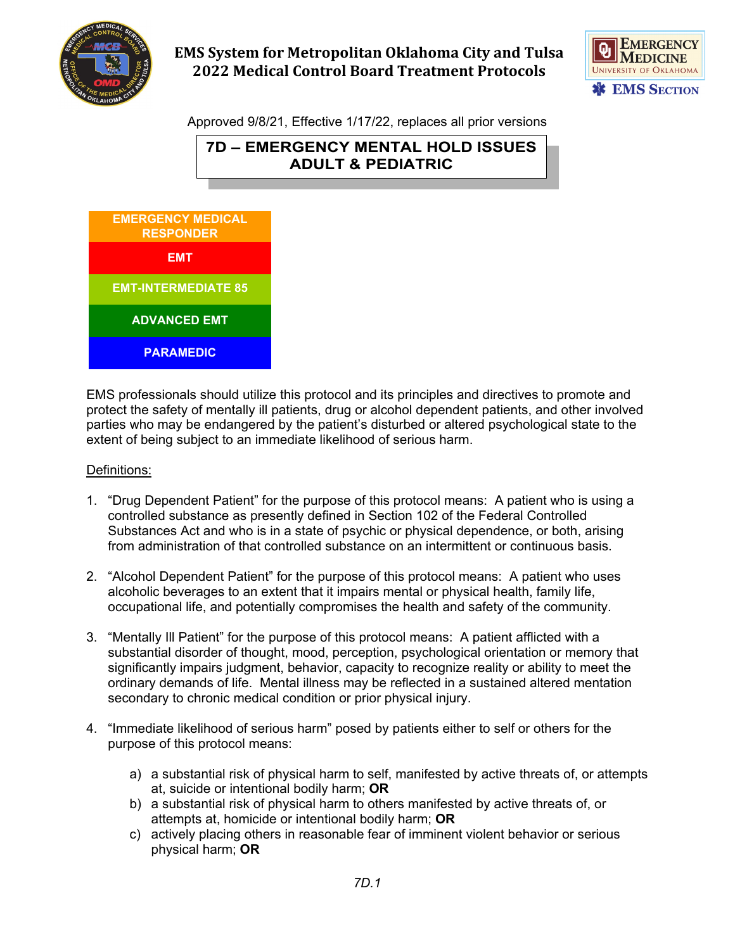

# **EMS System for Metropolitan Oklahoma City and Tulsa 2022 Medical Control Board Treatment Protocols**



Approved 9/8/21, Effective 1/17/22, replaces all prior versions





EMS professionals should utilize this protocol and its principles and directives to promote and protect the safety of mentally ill patients, drug or alcohol dependent patients, and other involved parties who may be endangered by the patient's disturbed or altered psychological state to the extent of being subject to an immediate likelihood of serious harm.

### Definitions:

- 1. "Drug Dependent Patient" for the purpose of this protocol means: A patient who is using a controlled substance as presently defined in Section 102 of the Federal Controlled Substances Act and who is in a state of psychic or physical dependence, or both, arising from administration of that controlled substance on an intermittent or continuous basis.
- 2. "Alcohol Dependent Patient" for the purpose of this protocol means: A patient who uses alcoholic beverages to an extent that it impairs mental or physical health, family life, occupational life, and potentially compromises the health and safety of the community.
- 3. "Mentally Ill Patient" for the purpose of this protocol means: A patient afflicted with a substantial disorder of thought, mood, perception, psychological orientation or memory that significantly impairs judgment, behavior, capacity to recognize reality or ability to meet the ordinary demands of life. Mental illness may be reflected in a sustained altered mentation secondary to chronic medical condition or prior physical injury.
- 4. "Immediate likelihood of serious harm" posed by patients either to self or others for the purpose of this protocol means:
	- a) a substantial risk of physical harm to self, manifested by active threats of, or attempts at, suicide or intentional bodily harm; **OR**
	- b) a substantial risk of physical harm to others manifested by active threats of, or attempts at, homicide or intentional bodily harm; **OR**
	- c) actively placing others in reasonable fear of imminent violent behavior or serious physical harm; **OR**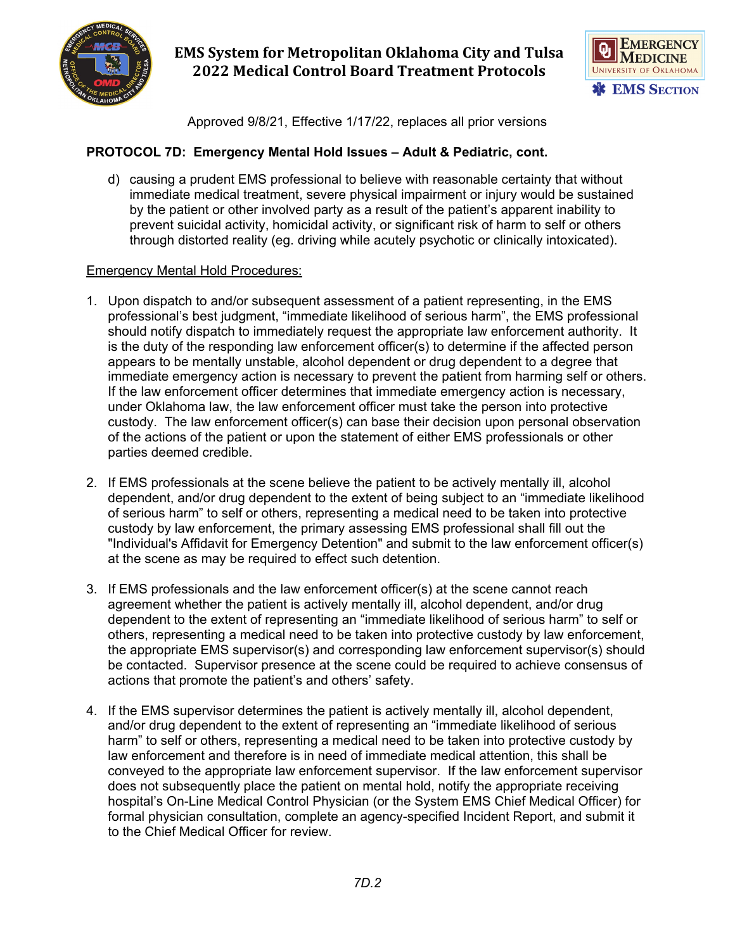

## **EMS System for Metropolitan Oklahoma City and Tulsa 2022 Medical Control Board Treatment Protocols**



Approved 9/8/21, Effective 1/17/22, replaces all prior versions

### **PROTOCOL 7D: Emergency Mental Hold Issues – Adult & Pediatric, cont.**

d) causing a prudent EMS professional to believe with reasonable certainty that without immediate medical treatment, severe physical impairment or injury would be sustained by the patient or other involved party as a result of the patient's apparent inability to prevent suicidal activity, homicidal activity, or significant risk of harm to self or others through distorted reality (eg. driving while acutely psychotic or clinically intoxicated).

#### Emergency Mental Hold Procedures:

- 1. Upon dispatch to and/or subsequent assessment of a patient representing, in the EMS professional's best judgment, "immediate likelihood of serious harm", the EMS professional should notify dispatch to immediately request the appropriate law enforcement authority. It is the duty of the responding law enforcement officer(s) to determine if the affected person appears to be mentally unstable, alcohol dependent or drug dependent to a degree that immediate emergency action is necessary to prevent the patient from harming self or others. If the law enforcement officer determines that immediate emergency action is necessary, under Oklahoma law, the law enforcement officer must take the person into protective custody. The law enforcement officer(s) can base their decision upon personal observation of the actions of the patient or upon the statement of either EMS professionals or other parties deemed credible.
- 2. If EMS professionals at the scene believe the patient to be actively mentally ill, alcohol dependent, and/or drug dependent to the extent of being subject to an "immediate likelihood of serious harm" to self or others, representing a medical need to be taken into protective custody by law enforcement, the primary assessing EMS professional shall fill out the "Individual's Affidavit for Emergency Detention" and submit to the law enforcement officer(s) at the scene as may be required to effect such detention.
- 3. If EMS professionals and the law enforcement officer(s) at the scene cannot reach agreement whether the patient is actively mentally ill, alcohol dependent, and/or drug dependent to the extent of representing an "immediate likelihood of serious harm" to self or others, representing a medical need to be taken into protective custody by law enforcement, the appropriate EMS supervisor(s) and corresponding law enforcement supervisor(s) should be contacted. Supervisor presence at the scene could be required to achieve consensus of actions that promote the patient's and others' safety.
- 4. If the EMS supervisor determines the patient is actively mentally ill, alcohol dependent, and/or drug dependent to the extent of representing an "immediate likelihood of serious harm" to self or others, representing a medical need to be taken into protective custody by law enforcement and therefore is in need of immediate medical attention, this shall be conveyed to the appropriate law enforcement supervisor. If the law enforcement supervisor does not subsequently place the patient on mental hold, notify the appropriate receiving hospital's On-Line Medical Control Physician (or the System EMS Chief Medical Officer) for formal physician consultation, complete an agency-specified Incident Report, and submit it to the Chief Medical Officer for review.